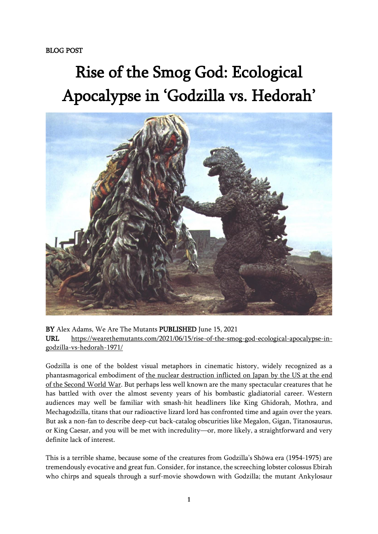## Rise of the Smog God: Ecological Apocalypse in 'Godzilla vs. Hedorah'



BY Alex Adams, We Are The Mutants PUBLISHED June 15, 2021 URL [https://wearethemutants.com/2021/06/15/rise-of-the-smog-god-ecological-apocalypse-in](https://wearethemutants.com/2021/06/15/rise-of-the-smog-god-ecological-apocalypse-in-godzilla-vs-hedorah-1971/)[godzilla-vs-hedorah-1971/](https://wearethemutants.com/2021/06/15/rise-of-the-smog-god-ecological-apocalypse-in-godzilla-vs-hedorah-1971/)

Godzilla is one of the boldest visual metaphors in cinematic history, widely recognized as a phantasmagorical embodiment of the nuclear [destruction](https://www.nbcnews.com/news/asian-america/godzilla-was-metaphor-hiroshima-hollywood-whitewashed-it-n1236165) inflicted on Japan by the US at the end of the [Second](https://www.nbcnews.com/news/asian-america/godzilla-was-metaphor-hiroshima-hollywood-whitewashed-it-n1236165) World War. But perhaps less well known are the many spectacular creatures that he has battled with over the almost seventy years of his bombastic gladiatorial career. Western audiences may well be familiar with smash-hit headliners like King Ghidorah, Mothra, and Mechagodzilla, titans that our radioactive lizard lord has confronted time and again over the years. But ask a non-fan to describe deep-cut back-catalog obscurities like Megalon, Gigan, Titanosaurus, or King Caesar, and you will be met with incredulity—or, more likely, a straightforward and very definite lack of interest.

This is a terrible shame, because some of the creatures from Godzilla's Shōwa era (1954-1975) are tremendously evocative and great fun. Consider, for instance, the screeching lobster colossus Ebirah who chirps and squeals through a surf-movie showdown with Godzilla; the mutant Ankylosaur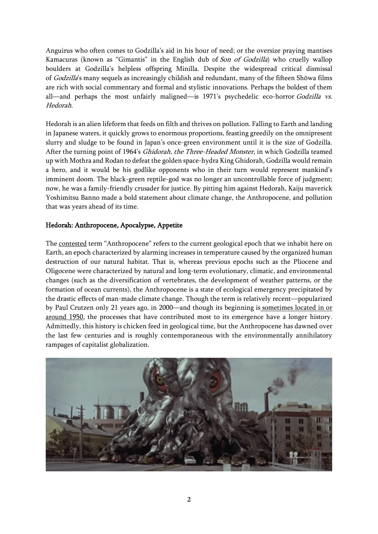Anguirus who often comes to Godzilla's aid in his hour of need; or the oversize praying mantises Kamacuras (known as "Gimantis" in the English dub of Son of Godzilla) who cruelly wallop boulders at Godzilla's helpless offspring Minilla. Despite the widespread critical dismissal of Godzilla's many sequels as increasingly childish and redundant, many of the fifteen Shōwa films are rich with social commentary and formal and stylistic innovations. Perhaps the boldest of them all—and perhaps the most unfairly maligned—is 1971's psychedelic eco-horror Godzilla vs. Hedorah.

Hedorah is an alien lifeform that feeds on filth and thrives on pollution. Falling to Earth and landing in Japanese waters, it quickly grows to enormous proportions, feasting greedily on the omnipresent slurry and sludge to be found in Japan's once-green environment until it is the size of Godzilla. After the turning point of 1964's Ghidorah, the Three-Headed Monster, in which Godzilla teamed up with Mothra and Rodan to defeat the golden space-hydra King Ghidorah, Godzilla would remain a hero, and it would be his godlike opponents who in their turn would represent mankind's imminent doom. The black-green reptile-god was no longer an uncontrollable force of judgment; now, he was a family-friendly crusader for justice. By pitting him against Hedorah, Kaiju maverick Yoshimitsu Banno made a bold statement about climate change, the Anthropocene, and pollution that was years ahead of its time.

## Hedorah: Anthropocene, Apocalypse, Appetite

The [contested](https://www.smithsonianmag.com/science-nature/what-is-the-anthropocene-and-are-we-in-it-164801414/) term "Anthropocene" refers to the current geological epoch that we inhabit here on Earth, an epoch characterized by alarming increases in temperature caused by the organized human destruction of our natural habitat. That is, whereas previous epochs such as the Pliocene and Oligocene were characterized by natural and long-term evolutionary, climatic, and environmental changes (such as the diversification of vertebrates, the development of weather patterns, or the formation of ocean currents), the Anthropocene is a state of ecological emergency precipitated by the drastic effects of man-made climate change. Though the term is relatively recent—popularized by Paul Crutzen only 21 years ago, in 2000—and though its beginning is [sometimes](https://www.theguardian.com/environment/2016/aug/29/declare-anthropocene-epoch-experts-urge-geological-congress-human-impact-earth) located in or [around](https://www.theguardian.com/environment/2016/aug/29/declare-anthropocene-epoch-experts-urge-geological-congress-human-impact-earth) 1950, the processes that have contributed most to its emergence have a longer history. Admittedly, this history is chicken feed in geological time, but the Anthropocene has dawned over the last few centuries and is roughly contemporaneous with the environmentally annihilatory rampages of capitalist globalization.

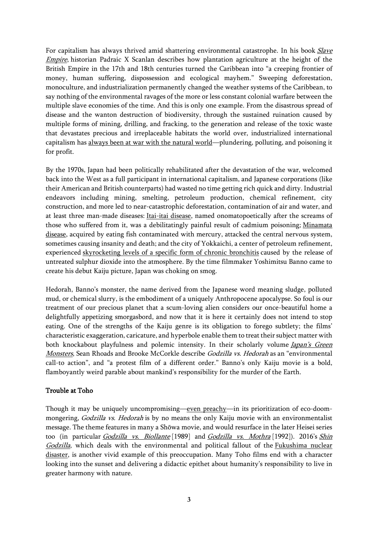For capitalism has always thrived amid shattering environmental catastrophe. In his book *[Slave](https://www.hachette.co.uk/titles/padraic-x-scanlan/slave-empire/9781472142320/)* [Empire](https://www.hachette.co.uk/titles/padraic-x-scanlan/slave-empire/9781472142320/), historian Padraic X Scanlan describes how plantation agriculture at the height of the British Empire in the 17th and 18th centuries turned the Caribbean into "a creeping frontier of money, human suffering, dispossession and ecological mayhem." Sweeping deforestation, monoculture, and industrialization permanently changed the weather systems of the Caribbean, to say nothing of the environmental ravages of the more or less constant colonial warfare between the multiple slave economies of the time. And this is only one example. From the disastrous spread of disease and the wanton destruction of biodiversity, through the sustained ruination caused by multiple forms of mining, drilling, and fracking, to the generation and release of the toxic waste that devastates precious and irreplaceable habitats the world over, industrialized international capitalism has always been at war with the [natural](https://wearethemutants.com/2020/08/06/the-rot-at-the-root-activism-and-agency-in-captain-planet-and-ferngully/) world—plundering, polluting, and poisoning it for profit.

By the 1970s, Japan had been politically rehabilitated after the devastation of the war, welcomed back into the West as a full participant in international capitalism, and Japanese corporations (like their American and British counterparts) had wasted no time getting rich quick and dirty. Industrial endeavors including mining, smelting, petroleum production, chemical refinement, city construction, and more led to near-catastrophic deforestation, contamination of air and water, and at least three man-made diseases: *[Itai-itai](http://www.kanazawa-med.ac.jp/~pubhealt/cadmium2/itaiitai-e/itai01.html) disease*, named onomatopoetically after the screams of those who suffered from it, was a debilitatingly painful result of cadmium poisoning; [Minamata](http://www.env.go.jp/en/chemi/hs/minamata2002/) [disease,](http://www.env.go.jp/en/chemi/hs/minamata2002/) acquired by eating fish contaminated with mercury, attacked the central nervous system, sometimes causing insanity and death; and the city of Yokkaichi, a center of petroleum refinement, experienced [skyrocketing](https://www.jstage.jst.go.jp/article/indhealth1963/2/2/2_2_87/_pdf) levels of a specific form of chronic bronchitis caused by the release of untreated sulphur dioxide into the atmosphere. By the time filmmaker Yoshimitsu Banno came to create his debut Kaiju picture, Japan was choking on smog.

Hedorah, Banno's monster, the name derived from the Japanese word meaning sludge, polluted mud, or chemical slurry, is the embodiment of a uniquely Anthropocene apocalypse. So foul is our treatment of our precious planet that a scum-loving alien considers our once-beautiful home a delightfully appetizing smorgasbord, and now that it is here it certainly does not intend to stop eating. One of the strengths of the Kaiju genre is its obligation to forego subtlety; the films' characteristic exaggeration, caricature, and hyperbole enable them to treat their subject matter with both knockabout playfulness and polemic intensity. In their scholarly volume [Japan's](https://mcfarlandbooks.com/product/japans-green-monsters/) Green [Monsters](https://mcfarlandbooks.com/product/japans-green-monsters/), Sean Rhoads and Brooke McCorkle describe Godzilla vs. Hedorah as an "environmental call-to action", and "a protest film of a different order." Banno's only Kaiju movie is a bold, flamboyantly weird parable about mankind's responsibility for the murder of the Earth.

## Trouble at Toho

Though it may be uniquely uncompromising—even [preachy](https://filmschoolrejects.com/godzilla-vs-hedorah/)—in its prioritization of eco-doommongering, *Godzilla vs. Hedorah* is by no means the only Kaiju movie with an environmentalist message. The theme features in many a Shōwa movie, and would resurface in the later Heisei series too (in particular *Godzilla vs. [Biollante](https://wikizilla.org/wiki/Godzilla_vs._Biollante)* [1989] and *[Godzilla](https://wikizilla.org/wiki/Godzilla_vs._Mothra) vs. Mothra* [1992]). 2016's *[Shin](https://godzilla.fandom.com/wiki/Shin_Godzilla)* [Godzilla](https://godzilla.fandom.com/wiki/Shin_Godzilla), which deals with the environmental and political fallout of the [Fukushima](https://en.wikipedia.org/wiki/Fukushima_Daiichi_nuclear_disaster) nuclear [disaster,](https://en.wikipedia.org/wiki/Fukushima_Daiichi_nuclear_disaster) is another vivid example of this preoccupation. Many Toho films end with a character looking into the sunset and delivering a didactic epithet about humanity's responsibility to live in greater harmony with nature.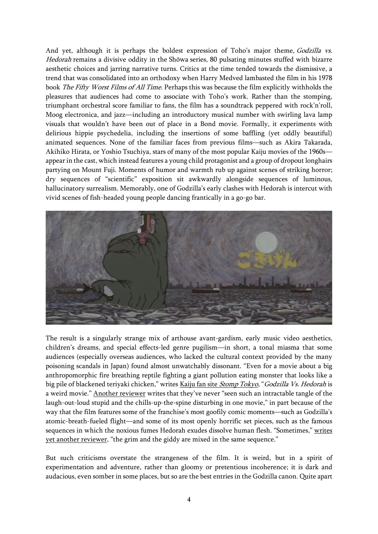And yet, although it is perhaps the boldest expression of Toho's major theme, Godzilla vs. Hedorah remains a divisive oddity in the Shōwa series, 80 pulsating minutes stuffed with bizarre aesthetic choices and jarring narrative turns. Critics at the time tended towards the dismissive, a trend that was consolidated into an orthodoxy when Harry Medved lambasted the film in his 1978 book The Fifty Worst Films of All Time. Perhaps this was because the film explicitly withholds the pleasures that audiences had come to associate with Toho's work. Rather than the stomping, triumphant orchestral score familiar to fans, the film has a soundtrack peppered with rock'n'roll, Moog electronica, and jazz—including an introductory musical number with swirling lava lamp visuals that wouldn't have been out of place in a Bond movie. Formally, it experiments with delirious hippie psychedelia, including the insertions of some baffling (yet oddly beautiful) animated sequences. None of the familiar faces from previous films—such as Akira Takarada, Akihiko Hirata, or Yoshio Tsuchiya, stars of many of the most popular Kaiju movies of the 1960s appear in the cast, which instead features a young child protagonist and a group of dropout longhairs partying on Mount Fuji. Moments of humor and warmth rub up against scenes of striking horror; dry sequences of "scientific" exposition sit awkwardly alongside sequences of luminous, hallucinatory surrealism. Memorably, one of Godzilla's early clashes with Hedorah is intercut with vivid scenes of fish-headed young people dancing frantically in a go-go bar.



The result is a singularly strange mix of arthouse avant-gardism, early music video aesthetics, children's dreams, and special effects-led genre pugilism—in short, a tonal miasma that some audiences (especially overseas audiences, who lacked the cultural context provided by the many poisoning scandals in Japan) found almost unwatchably dissonant. "Even for a movie about a big anthropomorphic fire breathing reptile fighting a giant pollution eating monster that looks like a big pile of blackened teriyaki chicken," writes Kaiju fan site Stomp [Tokyo](http://www.stomptokyo.com/movies/godzilla-vs-hedora.html), "Godzilla Vs. Hedorah is a weird movie." Another [reviewer](http://www.1000misspenthours.com/reviews/reviewse-g/godzillavsthesmogmonster.htm) writes that they've never "seen such an intractable tangle of the laugh-out-loud stupid and the chills-up-the-spine disturbing in one movie," in part because of the way that the film features some of the franchise's most goofily comic moments—such as Godzilla's atomic-breath-fueled flight—and some of its most openly horrific set pieces, such as the famous sequences in which the noxious fumes Hedorah exudes dissolve human flesh. "Sometimes," [writes](http://americankaiju.kaijuphile.com/articles/gvshedorah.shtml) yet another [reviewer,](http://americankaiju.kaijuphile.com/articles/gvshedorah.shtml) "the grim and the giddy are mixed in the same sequence."

But such criticisms overstate the strangeness of the film. It is weird, but in a spirit of experimentation and adventure, rather than gloomy or pretentious incoherence; it is dark and audacious, even somber in some places, but so are the best entries in the Godzilla canon. Quite apart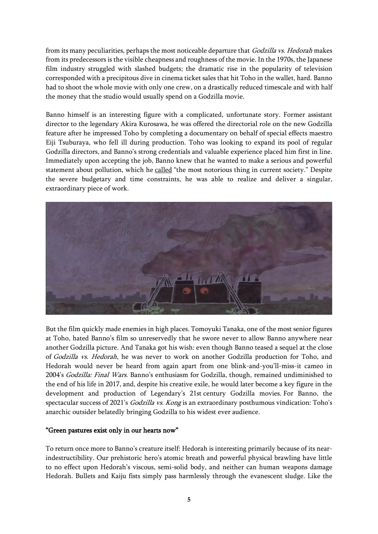from its many peculiarities, perhaps the most noticeable departure that Godzilla vs. Hedorah makes from its predecessors is the visible cheapness and roughness of the movie. In the 1970s, the Japanese film industry struggled with slashed budgets; the dramatic rise in the popularity of television corresponded with a precipitous dive in cinema ticket sales that hit Toho in the wallet, hard. Banno had to shoot the whole movie with only one crew, on a drastically reduced timescale and with half the money that the studio would usually spend on a Godzilla movie.

Banno himself is an interesting figure with a complicated, unfortunate story. Former assistant director to the legendary Akira Kurosawa, he was offered the directorial role on the new Godzilla feature after he impressed Toho by completing a documentary on behalf of special effects maestro Eiji Tsuburaya, who fell ill during production. Toho was looking to expand its pool of regular Godzilla directors, and Banno's strong credentials and valuable experience placed him first in line. Immediately upon accepting the job, Banno knew that he wanted to make a serious and powerful statement about pollution, which he [called](https://mcfarlandbooks.com/product/japans-green-monsters/) "the most notorious thing in current society." Despite the severe budgetary and time constraints, he was able to realize and deliver a singular, extraordinary piece of work.



But the film quickly made enemies in high places. Tomoyuki Tanaka, one of the most senior figures at Toho, hated Banno's film so unreservedly that he swore never to allow Banno anywhere near another Godzilla picture. And Tanaka got his wish: even though Banno teased a sequel at the close of Godzilla vs. Hedorah, he was never to work on another Godzilla production for Toho, and Hedorah would never be heard from again apart from one blink-and-you'll-miss-it cameo in 2004's Godzilla: Final Wars. Banno's enthusiasm for Godzilla, though, remained undiminished to the end of his life in 2017, and, despite his creative exile, he would later become a key figure in the development and production of Legendary's 21st century Godzilla movies. For Banno, the spectacular success of 2021's Godzilla vs. Kong is an extraordinary posthumous vindication: Toho's anarchic outsider belatedly bringing Godzilla to his widest ever audience.

## "Green pastures exist only in our hearts now"

To return once more to Banno's creature itself: Hedorah is interesting primarily because of its nearindestructibility. Our prehistoric hero's atomic breath and powerful physical brawling have little to no effect upon Hedorah's viscous, semi-solid body, and neither can human weapons damage Hedorah. Bullets and Kaiju fists simply pass harmlessly through the evanescent sludge. Like the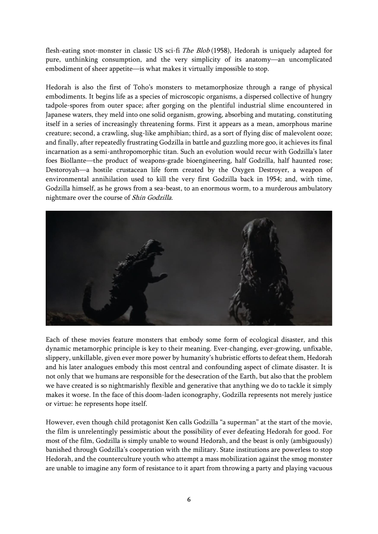flesh-eating snot-monster in classic US sci-fi The Blob (1958), Hedorah is uniquely adapted for pure, unthinking consumption, and the very simplicity of its anatomy—an uncomplicated embodiment of sheer appetite—is what makes it virtually impossible to stop.

Hedorah is also the first of Toho's monsters to metamorphosize through a range of physical embodiments. It begins life as a species of microscopic organisms, a dispersed collective of hungry tadpole-spores from outer space; after gorging on the plentiful industrial slime encountered in Japanese waters, they meld into one solid organism, growing, absorbing and mutating, constituting itself in a series of increasingly threatening forms. First it appears as a mean, amorphous marine creature; second, a crawling, slug-like amphibian; third, as a sort of flying disc of malevolent ooze; and finally, after repeatedly frustrating Godzilla in battle and guzzling more goo, it achieves its final incarnation as a semi-anthropomorphic titan. Such an evolution would recur with Godzilla's later foes Biollante—the product of weapons-grade bioengineering, half Godzilla, half haunted rose; Destoroyah—a hostile crustacean life form created by the Oxygen Destroyer, a weapon of environmental annihilation used to kill the very first Godzilla back in 1954; and, with time, Godzilla himself, as he grows from a sea-beast, to an enormous worm, to a murderous ambulatory nightmare over the course of Shin Godzilla.



Each of these movies feature monsters that embody some form of ecological disaster, and this dynamic metamorphic principle is key to their meaning. Ever-changing, ever-growing, unfixable, slippery, unkillable, given ever more power by humanity's hubristic efforts to defeat them, Hedorah and his later analogues embody this most central and confounding aspect of climate disaster. It is not only that we humans are responsible for the desecration of the Earth, but also that the problem we have created is so nightmarishly flexible and generative that anything we do to tackle it simply makes it worse. In the face of this doom-laden iconography, Godzilla represents not merely justice or virtue: he represents hope itself.

However, even though child protagonist Ken calls Godzilla "a superman" at the start of the movie, the film is unrelentingly pessimistic about the possibility of ever defeating Hedorah for good. For most of the film, Godzilla is simply unable to wound Hedorah, and the beast is only (ambiguously) banished through Godzilla's cooperation with the military. State institutions are powerless to stop Hedorah, and the counterculture youth who attempt a mass mobilization against the smog monster are unable to imagine any form of resistance to it apart from throwing a party and playing vacuous